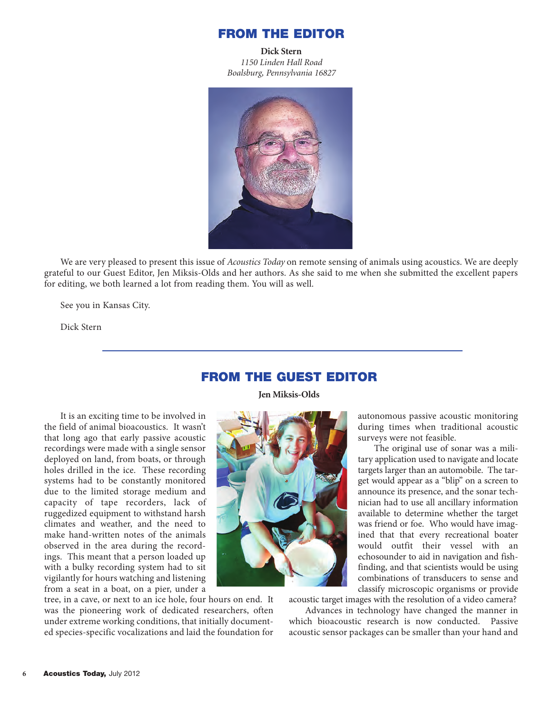#### **FROM THE EDITOR**

**Dick Stern** *1150 Linden Hall Road Boalsburg, Pennsylvania 16827*



We are very pleased to present this issue of *Acoustics Today* on remote sensing of animals using acoustics. We are deeply grateful to our Guest Editor, Jen Miksis-Olds and her authors. As she said to me when she submitted the excellent papers for editing, we both learned a lot from reading them. You will as well.

See you in Kansas City.

Dick Stern

## **FROM THE GUEST EDITOR**

**Jen Miksis-Olds**

It is an exciting time to be involved in the field of animal bioacoustics. It wasn't that long ago that early passive acoustic recordings were made with a single sensor deployed on land, from boats, or through holes drilled in the ice. These recording systems had to be constantly monitored due to the limited storage medium and capacity of tape recorders, lack of ruggedized equipment to withstand harsh climates and weather, and the need to make hand-written notes of the animals observed in the area during the recordings. This meant that a person loaded up with a bulky recording system had to sit vigilantly for hours watching and listening from a seat in a boat, on a pier, under a

tree, in a cave, or next to an ice hole, four hours on end. It was the pioneering work of dedicated researchers, often under extreme working conditions, that initially documented species-specific vocalizations and laid the foundation for



autonomous passive acoustic monitoring during times when traditional acoustic surveys were not feasible.

The original use of sonar was a military application used to navigate and locate targets larger than an automobile. The target would appear as a "blip" on a screen to announce its presence, and the sonar technician had to use all ancillary information available to determine whether the target was friend or foe. Who would have imagined that that every recreational boater would outfit their vessel with an echosounder to aid in navigation and fishfinding, and that scientists would be using combinations of transducers to sense and classify microscopic organisms or provide

acoustic target images with the resolution of a video camera?

Advances in technology have changed the manner in which bioacoustic research is now conducted. Passive acoustic sensor packages can be smaller than your hand and